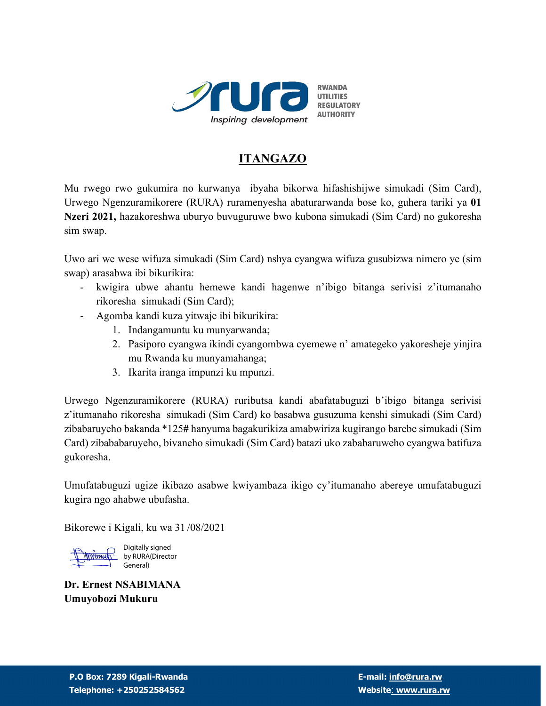

## **ITANGAZO**

Mu rwego rwo gukumira no kurwanya ibyaha bikorwa hifashishijwe simukadi (Sim Card), Urwego Ngenzuramikorere (RURA) ruramenyesha abaturarwanda bose ko, guhera tariki ya **01 Nzeri 2021,** hazakoreshwa uburyo buvuguruwe bwo kubona simukadi (Sim Card) no gukoresha sim swap.

Uwo ari we wese wifuza simukadi (Sim Card) nshya cyangwa wifuza gusubizwa nimero ye (sim swap) arasabwa ibi bikurikira:

- kwigira ubwe ahantu hemewe kandi hagenwe n'ibigo bitanga serivisi z'itumanaho rikoresha simukadi (Sim Card);
- Agomba kandi kuza yitwaje ibi bikurikira:
	- 1. Indangamuntu ku munyarwanda;
	- 2. Pasiporo cyangwa ikindi cyangombwa cyemewe n' amategeko yakoresheje yinjira mu Rwanda ku munyamahanga;
	- 3. Ikarita iranga impunzi ku mpunzi.

Urwego Ngenzuramikorere (RURA) ruributsa kandi abafatabuguzi b'ibigo bitanga serivisi z'itumanaho rikoresha simukadi (Sim Card) ko basabwa gusuzuma kenshi simukadi (Sim Card) zibabaruyeho bakanda \*125**#** hanyuma bagakurikiza amabwiriza kugirango barebe simukadi (Sim Card) zibababaruyeho, bivaneho simukadi (Sim Card) batazi uko zababaruweho cyangwa batifuza gukoresha.

Umufatabuguzi ugize ikibazo asabwe kwiyambaza ikigo cy'itumanaho abereye umufatabuguzi kugira ngo ahabwe ubufasha.

Bikorewe i Kigali, ku wa 31 /08/2021

Digitally signed by  $RURA(Director$ General)

**Dr. Ernest NSABIMANA Umuyobozi Mukuru**